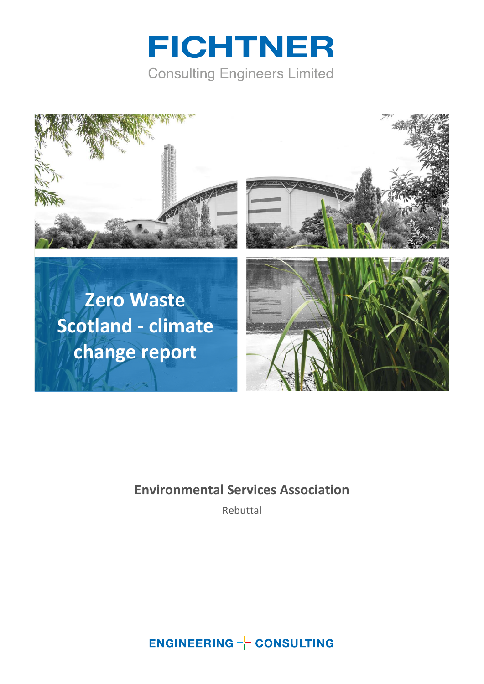



#### **Environmental Services Association**

Rebuttal

**ENGINEERING - CONSULTING**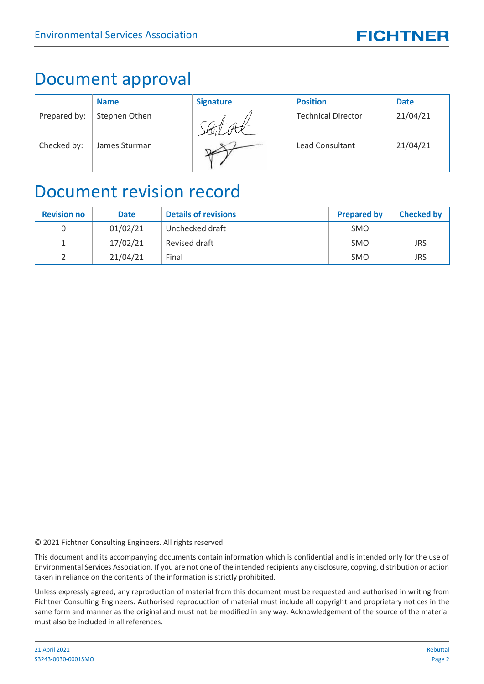## Document approval

|              | <b>Name</b>   | <b>Signature</b> | <b>Position</b>           | <b>Date</b> |
|--------------|---------------|------------------|---------------------------|-------------|
| Prepared by: | Stephen Othen |                  | <b>Technical Director</b> | 21/04/21    |
| Checked by:  | James Sturman |                  | Lead Consultant           | 21/04/21    |

### Document revision record

| <b>Revision no</b> | <b>Date</b> | <b>Details of revisions</b> | <b>Prepared by</b> | <b>Checked by</b> |
|--------------------|-------------|-----------------------------|--------------------|-------------------|
|                    | 01/02/21    | Unchecked draft             | <b>SMO</b>         |                   |
|                    | 17/02/21    | Revised draft               | <b>SMO</b>         | JRS               |
|                    | 21/04/21    | Final                       | <b>SMO</b>         | <b>JRS</b>        |

© 2021 Fichtner Consulting Engineers. All rights reserved.

This document and its accompanying documents contain information which is confidential and is intended only for the use of Environmental Services Association. If you are not one of the intended recipients any disclosure, copying, distribution or action taken in reliance on the contents of the information is strictly prohibited.

Unless expressly agreed, any reproduction of material from this document must be requested and authorised in writing from Fichtner Consulting Engineers. Authorised reproduction of material must include all copyright and proprietary notices in the same form and manner as the original and must not be modified in any way. Acknowledgement of the source of the material must also be included in all references.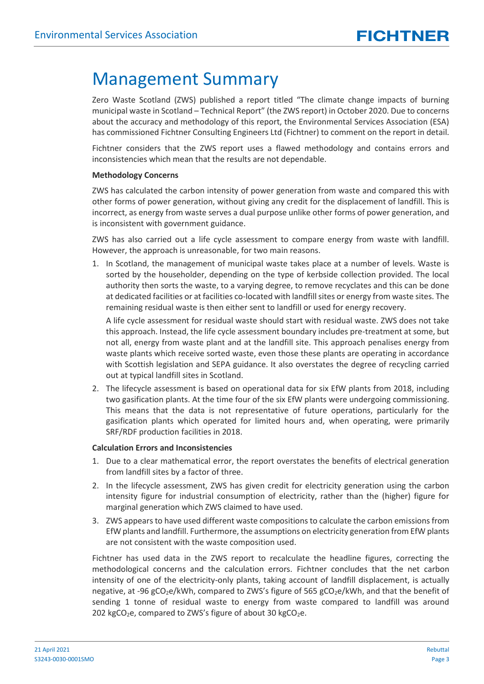## <span id="page-2-0"></span>Management Summary

Zero Waste Scotland (ZWS) published a report titled "The climate change impacts of burning municipal waste in Scotland – Technical Report" (the ZWS report) in October 2020. Due to concerns about the accuracy and methodology of this report, the Environmental Services Association (ESA) has commissioned Fichtner Consulting Engineers Ltd (Fichtner) to comment on the report in detail.

Fichtner considers that the ZWS report uses a flawed methodology and contains errors and inconsistencies which mean that the results are not dependable.

#### **Methodology Concerns**

ZWS has calculated the carbon intensity of power generation from waste and compared this with other forms of power generation, without giving any credit for the displacement of landfill. This is incorrect, as energy from waste serves a dual purpose unlike other forms of power generation, and is inconsistent with government guidance.

ZWS has also carried out a life cycle assessment to compare energy from waste with landfill. However, the approach is unreasonable, for two main reasons.

1. In Scotland, the management of municipal waste takes place at a number of levels. Waste is sorted by the householder, depending on the type of kerbside collection provided. The local authority then sorts the waste, to a varying degree, to remove recyclates and this can be done at dedicated facilities or at facilities co-located with landfill sites or energy from waste sites. The remaining residual waste is then either sent to landfill or used for energy recovery.

A life cycle assessment for residual waste should start with residual waste. ZWS does not take this approach. Instead, the life cycle assessment boundary includes pre-treatment at some, but not all, energy from waste plant and at the landfill site. This approach penalises energy from waste plants which receive sorted waste, even those these plants are operating in accordance with Scottish legislation and SEPA guidance. It also overstates the degree of recycling carried out at typical landfill sites in Scotland.

2. The lifecycle assessment is based on operational data for six EfW plants from 2018, including two gasification plants. At the time four of the six EfW plants were undergoing commissioning. This means that the data is not representative of future operations, particularly for the gasification plants which operated for limited hours and, when operating, were primarily SRF/RDF production facilities in 2018.

#### **Calculation Errors and Inconsistencies**

- 1. Due to a clear mathematical error, the report overstates the benefits of electrical generation from landfill sites by a factor of three.
- 2. In the lifecycle assessment, ZWS has given credit for electricity generation using the carbon intensity figure for industrial consumption of electricity, rather than the (higher) figure for marginal generation which ZWS claimed to have used.
- 3. ZWS appears to have used different waste compositions to calculate the carbon emissions from EfW plants and landfill. Furthermore, the assumptions on electricity generation from EfW plants are not consistent with the waste composition used.

Fichtner has used data in the ZWS report to recalculate the headline figures, correcting the methodological concerns and the calculation errors. Fichtner concludes that the net carbon intensity of one of the electricity-only plants, taking account of landfill displacement, is actually negative, at -96 gCO<sub>2</sub>e/kWh, compared to ZWS's figure of 565 gCO<sub>2</sub>e/kWh, and that the benefit of sending 1 tonne of residual waste to energy from waste compared to landfill was around 202 kgCO<sub>2</sub>e, compared to ZWS's figure of about 30 kgCO<sub>2</sub>e.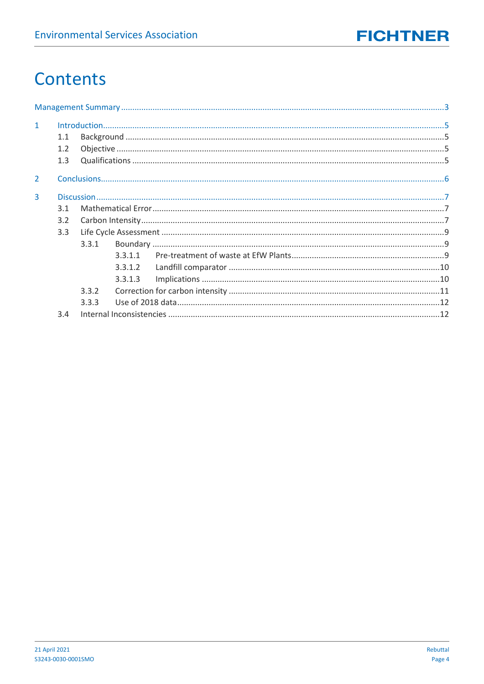## Contents

| $\mathbf{1}$   |     |       |         |  |  |
|----------------|-----|-------|---------|--|--|
|                | 1.1 |       |         |  |  |
|                | 1.2 |       |         |  |  |
|                | 1.3 |       |         |  |  |
|                |     |       |         |  |  |
| $\overline{2}$ |     |       |         |  |  |
| 3              |     |       |         |  |  |
|                | 3.1 |       |         |  |  |
|                | 3.2 |       |         |  |  |
|                | 3.3 |       |         |  |  |
|                |     | 3.3.1 |         |  |  |
|                |     |       | 3.3.1.1 |  |  |
|                |     |       | 3.3.1.2 |  |  |
|                |     |       | 3.3.1.3 |  |  |
|                |     | 3.3.2 |         |  |  |
|                |     | 3.3.3 |         |  |  |
|                | 3.4 |       |         |  |  |
|                |     |       |         |  |  |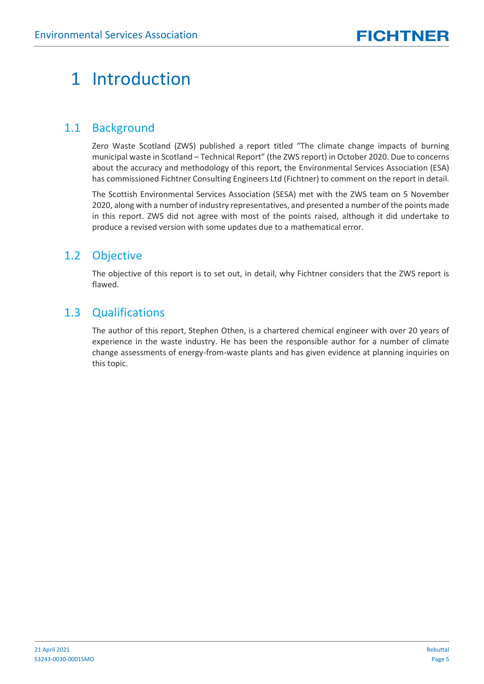## <span id="page-4-0"></span>1 Introduction

#### <span id="page-4-1"></span>1.1 Background

Zero Waste Scotland (ZWS) published a report titled "The climate change impacts of burning municipal waste in Scotland – Technical Report" (the ZWS report) in October 2020. Due to concerns about the accuracy and methodology of this report, the Environmental Services Association (ESA) has commissioned Fichtner Consulting Engineers Ltd (Fichtner) to comment on the report in detail.

The Scottish Environmental Services Association (SESA) met with the ZWS team on 5 November 2020, along with a number of industry representatives, and presented a number of the points made in this report. ZWS did not agree with most of the points raised, although it did undertake to produce a revised version with some updates due to a mathematical error.

#### <span id="page-4-2"></span>1.2 Objective

<span id="page-4-3"></span>The objective of this report is to set out, in detail, why Fichtner considers that the ZWS report is flawed.

#### 1.3 Qualifications

The author of this report, Stephen Othen, is a chartered chemical engineer with over 20 years of experience in the waste industry. He has been the responsible author for a number of climate change assessments of energy-from-waste plants and has given evidence at planning inquiries on this topic.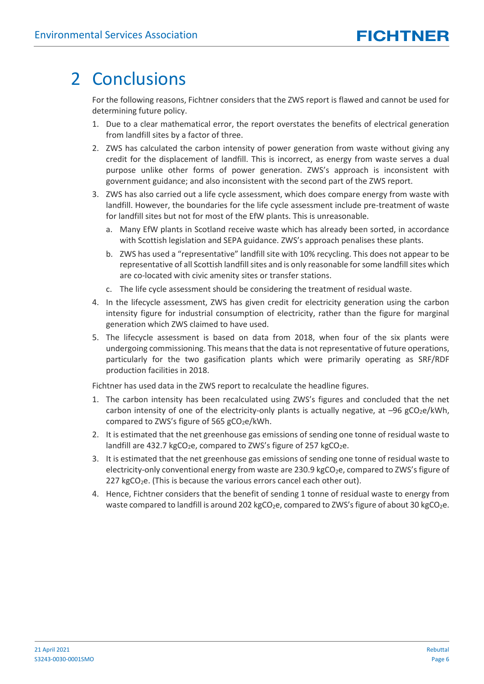## <span id="page-5-0"></span>2 Conclusions

For the following reasons, Fichtner considers that the ZWS report is flawed and cannot be used for determining future policy.

- 1. Due to a clear mathematical error, the report overstates the benefits of electrical generation from landfill sites by a factor of three.
- 2. ZWS has calculated the carbon intensity of power generation from waste without giving any credit for the displacement of landfill. This is incorrect, as energy from waste serves a dual purpose unlike other forms of power generation. ZWS's approach is inconsistent with government guidance; and also inconsistent with the second part of the ZWS report.
- 3. ZWS has also carried out a life cycle assessment, which does compare energy from waste with landfill. However, the boundaries for the life cycle assessment include pre-treatment of waste for landfill sites but not for most of the EfW plants. This is unreasonable.
	- a. Many EfW plants in Scotland receive waste which has already been sorted, in accordance with Scottish legislation and SEPA guidance. ZWS's approach penalises these plants.
	- b. ZWS has used a "representative" landfill site with 10% recycling. This does not appear to be representative of all Scottish landfill sites and is only reasonable for some landfill sites which are co-located with civic amenity sites or transfer stations.
	- c. The life cycle assessment should be considering the treatment of residual waste.
- 4. In the lifecycle assessment, ZWS has given credit for electricity generation using the carbon intensity figure for industrial consumption of electricity, rather than the figure for marginal generation which ZWS claimed to have used.
- 5. The lifecycle assessment is based on data from 2018, when four of the six plants were undergoing commissioning. This means that the data is not representative of future operations, particularly for the two gasification plants which were primarily operating as SRF/RDF production facilities in 2018.

Fichtner has used data in the ZWS report to recalculate the headline figures.

- 1. The carbon intensity has been recalculated using ZWS's figures and concluded that the net carbon intensity of one of the electricity-only plants is actually negative, at  $-96$  gCO<sub>2</sub>e/kWh, compared to ZWS's figure of  $565$  gCO<sub>2</sub>e/kWh.
- 2. It is estimated that the net greenhouse gas emissions of sending one tonne of residual waste to landfill are 432.7 kgCO<sub>2</sub>e, compared to ZWS's figure of 257 kgCO<sub>2</sub>e.
- 3. It is estimated that the net greenhouse gas emissions of sending one tonne of residual waste to electricity-only conventional energy from waste are 230.9 kgCO<sub>2</sub>e, compared to ZWS's figure of 227 kgCO<sub>2</sub>e. (This is because the various errors cancel each other out).
- 4. Hence, Fichtner considers that the benefit of sending 1 tonne of residual waste to energy from waste compared to landfill is around 202 kgCO<sub>2</sub>e, compared to ZWS's figure of about 30 kgCO<sub>2</sub>e.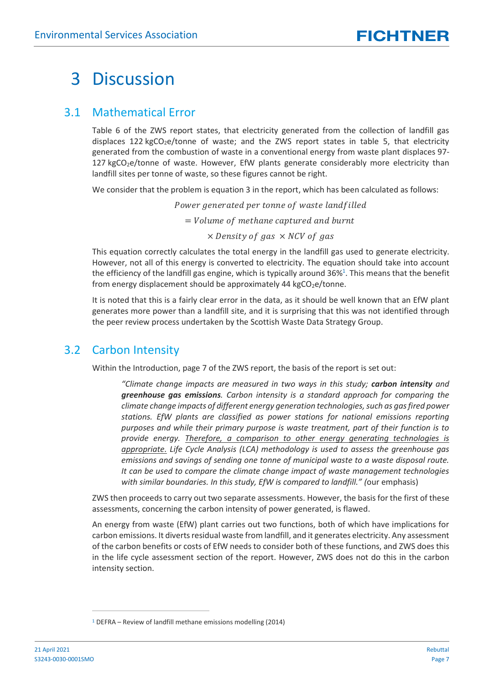## <span id="page-6-0"></span>3 Discussion

#### <span id="page-6-1"></span>3.1 Mathematical Error

Table 6 of the ZWS report states, that electricity generated from the collection of landfill gas displaces 122 kgCO<sub>2</sub>e/tonne of waste; and the ZWS report states in table 5, that electricity generated from the combustion of waste in a conventional energy from waste plant displaces 97-  $127 \text{ kgCO}_2$ e/tonne of waste. However, EfW plants generate considerably more electricity than landfill sites per tonne of waste, so these figures cannot be right.

We consider that the problem is equation 3 in the report, which has been calculated as follows:

Power generated per tonne of waste landfilled  $=$  Volume of methane captured and burnt

 $\times$  Density of gas  $\times$  NCV of gas

This equation correctly calculates the total energy in the landfill gas used to generate electricity. However, not all of this energy is converted to electricity. The equation should take into account the efficiency of the landfill gas engine, which is typically around 36%<sup>1</sup>. This means that the benefit from energy displacement should be approximately 44 kgCO<sub>2</sub>e/tonne.

It is noted that this is a fairly clear error in the data, as it should be well known that an EfW plant generates more power than a landfill site, and it is surprising that this was not identified through the peer review process undertaken by the Scottish Waste Data Strategy Group.

#### <span id="page-6-2"></span>3.2 Carbon Intensity

Within the Introduction, page 7 of the ZWS report, the basis of the report is set out:

*"Climate change impacts are measured in two ways in this study; carbon intensity and greenhouse gas emissions. Carbon intensity is a standard approach for comparing the climate change impacts of different energy generation technologies, such as gas fired power stations. EfW plants are classified as power stations for national emissions reporting purposes and while their primary purpose is waste treatment, part of their function is to provide energy. Therefore, a comparison to other energy generating technologies is appropriate. Life Cycle Analysis (LCA) methodology is used to assess the greenhouse gas emissions and savings of sending one tonne of municipal waste to a waste disposal route. It can be used to compare the climate change impact of waste management technologies with similar boundaries. In this study, EfW is compared to landfill." (*our emphasis)

ZWS then proceeds to carry out two separate assessments. However, the basis for the first of these assessments, concerning the carbon intensity of power generated, is flawed.

An energy from waste (EfW) plant carries out two functions, both of which have implications for carbon emissions. It diverts residual waste from landfill, and it generates electricity. Any assessment of the carbon benefits or costs of EfW needs to consider both of these functions, and ZWS does this in the life cycle assessment section of the report. However, ZWS does not do this in the carbon intensity section.

<sup>1</sup> DEFRA – Review of landfill methane emissions modelling (2014)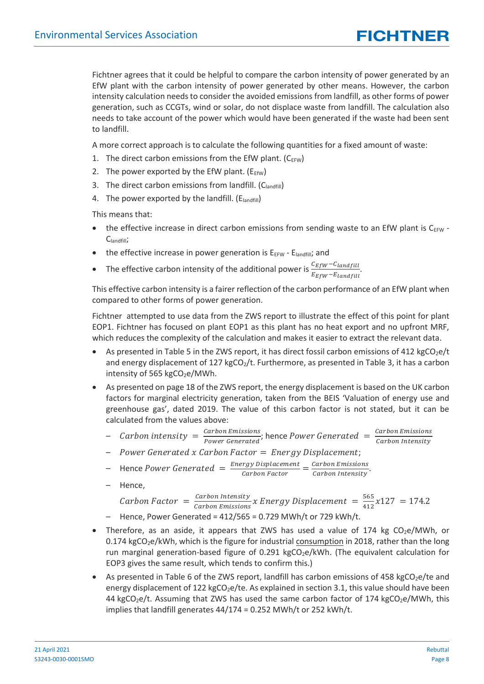Fichtner agrees that it could be helpful to compare the carbon intensity of power generated by an EfW plant with the carbon intensity of power generated by other means. However, the carbon intensity calculation needs to consider the avoided emissions from landfill, as other forms of power generation, such as CCGTs, wind or solar, do not displace waste from landfill. The calculation also needs to take account of the power which would have been generated if the waste had been sent to landfill.

A more correct approach is to calculate the following quantities for a fixed amount of waste:

- 1. The direct carbon emissions from the EfW plant. ( $C_{EFW}$ )
- 2. The power exported by the EfW plant. ( $E_{EfW}$ )
- 3. The direct carbon emissions from landfill.  $(C_{\text{landfill}})$
- 4. The power exported by the landfill. (Elandfill)

This means that:

- the effective increase in direct carbon emissions from sending waste to an EfW plant is  $C_{FFW}$  -Clandfill;
- the effective increase in power generation is E<sub>EFW</sub> Elandfill; and
- The effective carbon intensity of the additional power is  $\frac{C_{EfW}-C_{landfill}}{E_{EfW}-E_{landfill}}$ .

This effective carbon intensity is a fairer reflection of the carbon performance of an EfW plant when compared to other forms of power generation.

Fichtner attempted to use data from the ZWS report to illustrate the effect of this point for plant EOP1. Fichtner has focused on plant EOP1 as this plant has no heat export and no upfront MRF, which reduces the complexity of the calculation and makes it easier to extract the relevant data.

- As presented in Table 5 in the ZWS report, it has direct fossil carbon emissions of 412 kgCO<sub>2</sub>e/t and energy displacement of 127  $kgCO<sub>2</sub>/t$ . Furthermore, as presented in Table 3, it has a carbon intensity of 565 kgCO<sub>2</sub>e/MWh.
- As presented on page 18 of the ZWS report, the energy displacement is based on the UK carbon factors for marginal electricity generation, taken from the BEIS 'Valuation of energy use and greenhouse gas', dated 2019. The value of this carbon factor is not stated, but it can be calculated from the values above:
	- *Carbon intensity* =  $\frac{Carbon \, Emissions}{Power \, Ceny \, material}$ *Carbon Emissions*; hence *Power Generated* =  $\frac{Carbon\ Emissions}{Carbon\ Intensity}$ Carbon Intensity
	- Power Generated x Carbon Factor  $=$  Energy Displacement;
	- Hence Power Generated  $=$   $\frac{Energy Displacement}{Cayben$  Eastern  $\frac{rgy\ Displacement}{Carbon\ Factor} = \frac{Carbon\ Emissions}{Carbon\ Intensity}.$
	- Hence,

*Carbon Factor* =  $\frac{Carbon Intensity}{Carbon Emissions} x Energy Displacement = \frac{565}{412}$  $\frac{363}{412}x127 = 174.2$ 

- $-$  Hence, Power Generated = 412/565 = 0.729 MWh/t or 729 kWh/t.
- Therefore, as an aside, it appears that ZWS has used a value of 174 kg  $CO<sub>2</sub>e/MWh$ , or  $0.174$  kgCO<sub>2</sub>e/kWh, which is the figure for industrial consumption in 2018, rather than the long run marginal generation-based figure of  $0.291 \text{ kgCO}_2\text{e}/\text{kWh}$ . (The equivalent calculation for EOP3 gives the same result, which tends to confirm this.)
- As presented in Table 6 of the ZWS report, landfill has carbon emissions of 458 kgCO<sub>2</sub>e/te and energy displacement of 122 kgCO<sub>2</sub>e/te. As explained in sectio[n 3.1,](#page-6-1) this value should have been 44 kgCO<sub>2</sub>e/t. Assuming that ZWS has used the same carbon factor of 174 kgCO<sub>2</sub>e/MWh, this implies that landfill generates 44/174 = 0.252 MWh/t or 252 kWh/t.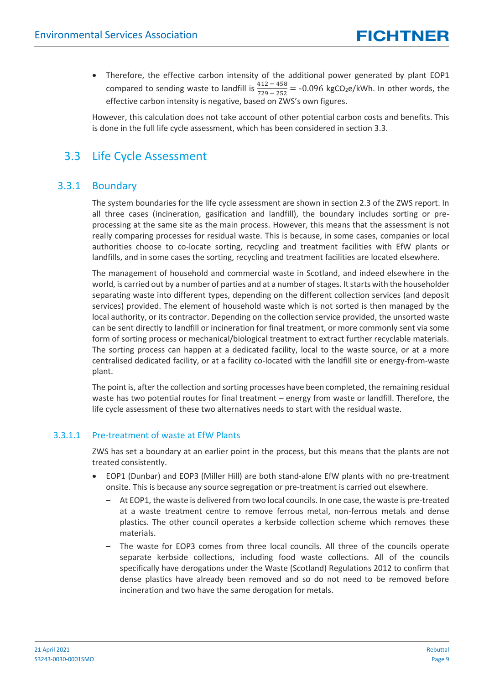• Therefore, the effective carbon intensity of the additional power generated by plant EOP1 compared to sending waste to landfill is  $\frac{412-458}{729-252}$  = -0.096 kgCO<sub>2</sub>e/kWh. In other words, the effective carbon intensity is negative, based on ZWS's own figures.

<span id="page-8-0"></span>However, this calculation does not take account of other potential carbon costs and benefits. This is done in the full life cycle assessment, which has been considered in section [3.3.](#page-8-0)

#### 3.3 Life Cycle Assessment

#### 3.3.1 Boundary

<span id="page-8-1"></span>The system boundaries for the life cycle assessment are shown in section 2.3 of the ZWS report. In all three cases (incineration, gasification and landfill), the boundary includes sorting or preprocessing at the same site as the main process. However, this means that the assessment is not really comparing processes for residual waste. This is because, in some cases, companies or local authorities choose to co-locate sorting, recycling and treatment facilities with EfW plants or landfills, and in some cases the sorting, recycling and treatment facilities are located elsewhere.

The management of household and commercial waste in Scotland, and indeed elsewhere in the world, is carried out by a number of parties and at a number of stages. It starts with the householder separating waste into different types, depending on the different collection services (and deposit services) provided. The element of household waste which is not sorted is then managed by the local authority, or its contractor. Depending on the collection service provided, the unsorted waste can be sent directly to landfill or incineration for final treatment, or more commonly sent via some form of sorting process or mechanical/biological treatment to extract further recyclable materials. The sorting process can happen at a dedicated facility, local to the waste source, or at a more centralised dedicated facility, or at a facility co-located with the landfill site or energy-from-waste plant.

<span id="page-8-2"></span>The point is, after the collection and sorting processes have been completed, the remaining residual waste has two potential routes for final treatment – energy from waste or landfill. Therefore, the life cycle assessment of these two alternatives needs to start with the residual waste.

#### 3.3.1.1 Pre-treatment of waste at EfW Plants

ZWS has set a boundary at an earlier point in the process, but this means that the plants are not treated consistently.

- EOP1 (Dunbar) and EOP3 (Miller Hill) are both stand-alone EfW plants with no pre-treatment onsite. This is because any source segregation or pre-treatment is carried out elsewhere.
	- At EOP1, the waste is delivered from two local councils. In one case, the waste is pre-treated at a waste treatment centre to remove ferrous metal, non-ferrous metals and dense plastics. The other council operates a kerbside collection scheme which removes these materials.
	- The waste for EOP3 comes from three local councils. All three of the councils operate separate kerbside collections, including food waste collections. All of the councils specifically have derogations under the Waste (Scotland) Regulations 2012 to confirm that dense plastics have already been removed and so do not need to be removed before incineration and two have the same derogation for metals.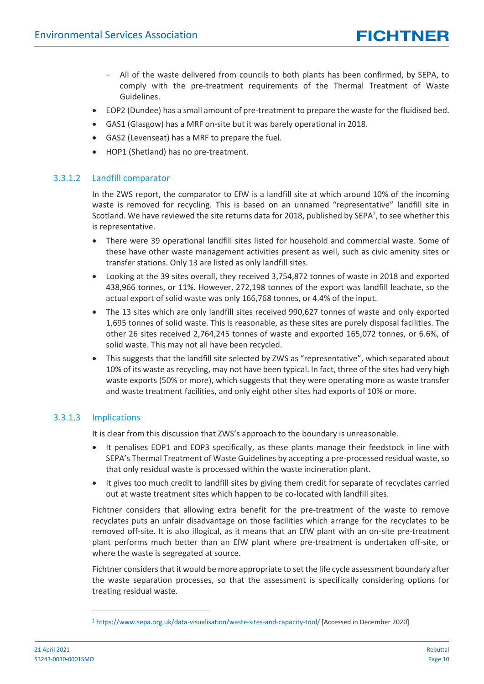- All of the waste delivered from councils to both plants has been confirmed, by SEPA, to comply with the pre-treatment requirements of the Thermal Treatment of Waste Guidelines.
- EOP2 (Dundee) has a small amount of pre-treatment to prepare the waste for the fluidised bed.
- GAS1 (Glasgow) has a MRF on-site but it was barely operational in 2018.
- GAS2 (Levenseat) has a MRF to prepare the fuel.
- <span id="page-9-0"></span>• HOP1 (Shetland) has no pre-treatment.

#### 3.3.1.2 Landfill comparator

In the ZWS report, the comparator to EfW is a landfill site at which around 10% of the incoming waste is removed for recycling. This is based on an unnamed "representative" landfill site in Scotland. We have reviewed the site returns data for 2018, published by SEPA<sup>2</sup>, to see whether this is representative.

- There were 39 operational landfill sites listed for household and commercial waste. Some of these have other waste management activities present as well, such as civic amenity sites or transfer stations. Only 13 are listed as only landfill sites.
- Looking at the 39 sites overall, they received 3,754,872 tonnes of waste in 2018 and exported 438,966 tonnes, or 11%. However, 272,198 tonnes of the export was landfill leachate, so the actual export of solid waste was only 166,768 tonnes, or 4.4% of the input.
- The 13 sites which are only landfill sites received 990,627 tonnes of waste and only exported 1,695 tonnes of solid waste. This is reasonable, as these sites are purely disposal facilities. The other 26 sites received 2,764,245 tonnes of waste and exported 165,072 tonnes, or 6.6%, of solid waste. This may not all have been recycled.
- This suggests that the landfill site selected by ZWS as "representative", which separated about 10% of its waste as recycling, may not have been typical. In fact, three of the sites had very high waste exports (50% or more), which suggests that they were operating more as waste transfer and waste treatment facilities, and only eight other sites had exports of 10% or more.

#### 3.3.1.3 Implications

<span id="page-9-1"></span>It is clear from this discussion that ZWS's approach to the boundary is unreasonable.

- It penalises EOP1 and EOP3 specifically, as these plants manage their feedstock in line with SEPA's Thermal Treatment of Waste Guidelines by accepting a pre-processed residual waste, so that only residual waste is processed within the waste incineration plant.
- It gives too much credit to landfill sites by giving them credit for separate of recyclates carried out at waste treatment sites which happen to be co-located with landfill sites.

Fichtner considers that allowing extra benefit for the pre-treatment of the waste to remove recyclates puts an unfair disadvantage on those facilities which arrange for the recyclates to be removed off-site. It is also illogical, as it means that an EfW plant with an on-site pre-treatment plant performs much better than an EfW plant where pre-treatment is undertaken off-site, or where the waste is segregated at source.

Fichtner considers that it would be more appropriate to set the life cycle assessment boundary after the waste separation processes, so that the assessment is specifically considering options for treating residual waste.

<sup>2</sup> <https://www.sepa.org.uk/data-visualisation/waste-sites-and-capacity-tool/> [Accessed in December 2020]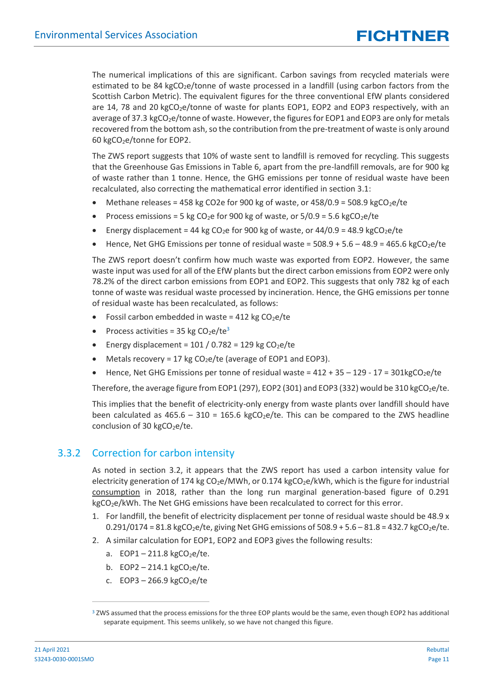The numerical implications of this are significant. Carbon savings from recycled materials were estimated to be 84 kgCO<sub>2</sub>e/tonne of waste processed in a landfill (using carbon factors from the Scottish Carbon Metric). The equivalent figures for the three conventional EfW plants considered are 14, 78 and 20 kgCO<sub>2</sub>e/tonne of waste for plants EOP1, EOP2 and EOP3 respectively, with an average of 37.3 kgCO<sub>2</sub>e/tonne of waste. However, the figures for EOP1 and EOP3 are only for metals recovered from the bottom ash, so the contribution from the pre-treatment of waste is only around 60 kgCO2e/tonne for EOP2.

The ZWS report suggests that 10% of waste sent to landfill is removed for recycling. This suggests that the Greenhouse Gas Emissions in Table 6, apart from the pre-landfill removals, are for 900 kg of waste rather than 1 tonne. Hence, the GHG emissions per tonne of residual waste have been recalculated, also correcting the mathematical error identified in sectio[n 3.1:](#page-6-1)

- Methane releases = 458 kg CO2e for 900 kg of waste, or  $458/0.9 = 508.9$  kgCO<sub>2</sub>e/te
- Process emissions = 5 kg  $CO<sub>2</sub>e$  for 900 kg of waste, or  $5/0.9 = 5.6$  kg $CO<sub>2</sub>e$ /te
- Energy displacement = 44 kg CO<sub>2</sub>e for 900 kg of waste, or  $44/0.9 = 48.9$  kgCO<sub>2</sub>e/te
- Hence, Net GHG Emissions per tonne of residual waste =  $508.9 + 5.6 48.9 = 465.6$  kgCO<sub>2</sub>e/te

The ZWS report doesn't confirm how much waste was exported from EOP2. However, the same waste input was used for all of the EfW plants but the direct carbon emissions from EOP2 were only 78.2% of the direct carbon emissions from EOP1 and EOP2. This suggests that only 782 kg of each tonne of waste was residual waste processed by incineration. Hence, the GHG emissions per tonne of residual waste has been recalculated, as follows:

- Fossil carbon embedded in waste = 412 kg  $CO<sub>2</sub>e/te$
- Process activities = 35 kg  $CO<sub>2</sub>e/te<sup>3</sup>$
- Energy displacement =  $101/0.782 = 129$  kg CO<sub>2</sub>e/te
- Metals recovery = 17 kg  $CO<sub>2</sub>e/te$  (average of EOP1 and EOP3).
- Hence, Net GHG Emissions per tonne of residual waste =  $412 + 35 129 17 = 301 \text{kg} \cdot \text{C}$

Therefore, the average figure from EOP1 (297), EOP2 (301) and EOP3 (332) would be 310 kgCO<sub>2</sub>e/te.

<span id="page-10-0"></span>This implies that the benefit of electricity-only energy from waste plants over landfill should have been calculated as  $465.6 - 310 = 165.6$  kgCO<sub>2</sub>e/te. This can be compared to the ZWS headline conclusion of 30 kgCO<sub>2</sub>e/te.

#### 3.3.2 Correction for carbon intensity

As noted in section [3.2,](#page-6-2) it appears that the ZWS report has used a carbon intensity value for electricity generation of 174 kg  $CO<sub>2</sub>e/MWh$ , or 0.174 kg $CO<sub>2</sub>e/kWh$ , which is the figure for industrial consumption in 2018, rather than the long run marginal generation-based figure of 0.291 kgCO<sub>2</sub>e/kWh. The Net GHG emissions have been recalculated to correct for this error.

- 1. For landfill, the benefit of electricity displacement per tonne of residual waste should be 48.9 x  $0.291/0174 = 81.8 \text{ kgCO}_2$ e/te, giving Net GHG emissions of 508.9 + 5.6 – 81.8 = 432.7 kgCO<sub>2</sub>e/te.
- 2. A similar calculation for EOP1, EOP2 and EOP3 gives the following results:
	- a.  $EOP1 211.8 \text{ kgCO}_2$ e/te.
	- b.  $EOP2 214.1 \text{ kgCO}_2$ e/te.
	- c.  $EOP3 266.9$  kgCO<sub>2</sub>e/te

<sup>&</sup>lt;sup>3</sup> ZWS assumed that the process emissions for the three EOP plants would be the same, even though EOP2 has additional separate equipment. This seems unlikely, so we have not changed this figure.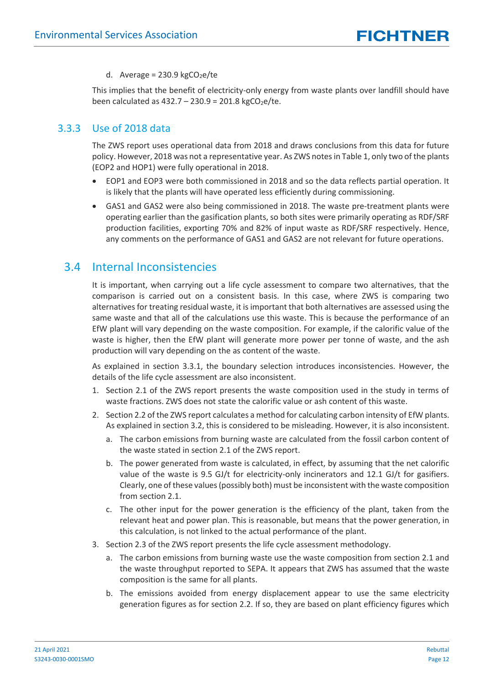d. Average =  $230.9$  kgCO<sub>2</sub>e/te

<span id="page-11-0"></span>This implies that the benefit of electricity-only energy from waste plants over landfill should have been calculated as  $432.7 - 230.9 = 201.8 \text{ kgCO}_2\text{e}/\text{te}.$ 

#### 3.3.3 Use of 2018 data

The ZWS report uses operational data from 2018 and draws conclusions from this data for future policy. However, 2018 was not a representative year. As ZWS notes in Table 1, only two of the plants (EOP2 and HOP1) were fully operational in 2018.

- EOP1 and EOP3 were both commissioned in 2018 and so the data reflects partial operation. It is likely that the plants will have operated less efficiently during commissioning.
- GAS1 and GAS2 were also being commissioned in 2018. The waste pre-treatment plants were operating earlier than the gasification plants, so both sites were primarily operating as RDF/SRF production facilities, exporting 70% and 82% of input waste as RDF/SRF respectively. Hence, any comments on the performance of GAS1 and GAS2 are not relevant for future operations.

#### <span id="page-11-1"></span>3.4 Internal Inconsistencies

It is important, when carrying out a life cycle assessment to compare two alternatives, that the comparison is carried out on a consistent basis. In this case, where ZWS is comparing two alternatives for treating residual waste, it is important that both alternatives are assessed using the same waste and that all of the calculations use this waste. This is because the performance of an EfW plant will vary depending on the waste composition. For example, if the calorific value of the waste is higher, then the EfW plant will generate more power per tonne of waste, and the ash production will vary depending on the as content of the waste.

As explained in section 3.3.1, the boundary selection introduces inconsistencies. However, the details of the life cycle assessment are also inconsistent.

- 1. Section 2.1 of the ZWS report presents the waste composition used in the study in terms of waste fractions. ZWS does not state the calorific value or ash content of this waste.
- 2. Section 2.2 of the ZWS report calculates a method for calculating carbon intensity of EfW plants. As explained in sectio[n 3.2,](#page-6-2) this is considered to be misleading. However, it is also inconsistent.
	- a. The carbon emissions from burning waste are calculated from the fossil carbon content of the waste stated in section 2.1 of the ZWS report.
	- b. The power generated from waste is calculated, in effect, by assuming that the net calorific value of the waste is 9.5 GJ/t for electricity-only incinerators and 12.1 GJ/t for gasifiers. Clearly, one of these values (possibly both) must be inconsistent with the waste composition from section 2.1.
	- c. The other input for the power generation is the efficiency of the plant, taken from the relevant heat and power plan. This is reasonable, but means that the power generation, in this calculation, is not linked to the actual performance of the plant.
- 3. Section 2.3 of the ZWS report presents the life cycle assessment methodology.
	- a. The carbon emissions from burning waste use the waste composition from section 2.1 and the waste throughput reported to SEPA. It appears that ZWS has assumed that the waste composition is the same for all plants.
	- b. The emissions avoided from energy displacement appear to use the same electricity generation figures as for section 2.2. If so, they are based on plant efficiency figures which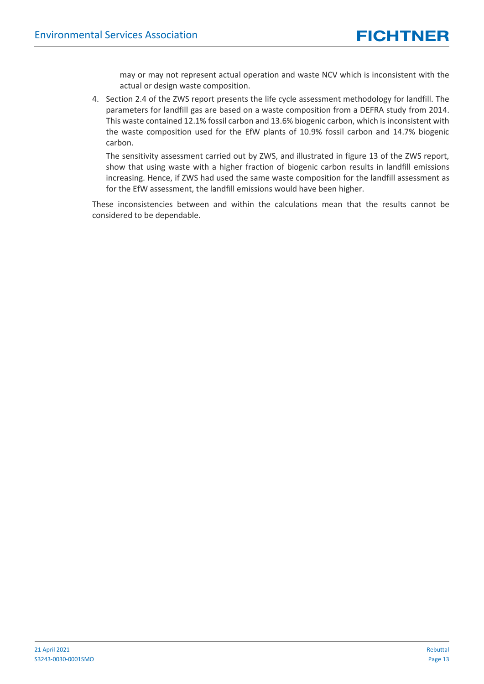may or may not represent actual operation and waste NCV which is inconsistent with the actual or design waste composition.

4. Section 2.4 of the ZWS report presents the life cycle assessment methodology for landfill. The parameters for landfill gas are based on a waste composition from a DEFRA study from 2014. This waste contained 12.1% fossil carbon and 13.6% biogenic carbon, which is inconsistent with the waste composition used for the EfW plants of 10.9% fossil carbon and 14.7% biogenic carbon.

The sensitivity assessment carried out by ZWS, and illustrated in figure 13 of the ZWS report, show that using waste with a higher fraction of biogenic carbon results in landfill emissions increasing. Hence, if ZWS had used the same waste composition for the landfill assessment as for the EfW assessment, the landfill emissions would have been higher.

These inconsistencies between and within the calculations mean that the results cannot be considered to be dependable.